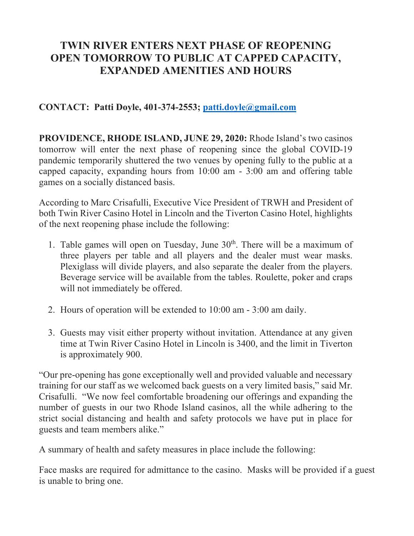## **TWIN RIVER ENTERS NEXT PHASE OF REOPENING OPEN TOMORROW TO PUBLIC AT CAPPED CAPACITY, EXPANDED AMENITIES AND HOURS**

**CONTACT: Patti Doyle, 401-374-2553; patti.doyle@gmail.com**

**PROVIDENCE, RHODE ISLAND, JUNE 29, 2020:** Rhode Island's two casinos tomorrow will enter the next phase of reopening since the global COVID-19 pandemic temporarily shuttered the two venues by opening fully to the public at a capped capacity, expanding hours from 10:00 am - 3:00 am and offering table games on a socially distanced basis.

According to Marc Crisafulli, Executive Vice President of TRWH and President of both Twin River Casino Hotel in Lincoln and the Tiverton Casino Hotel, highlights of the next reopening phase include the following:

- 1. Table games will open on Tuesday, June  $30<sup>th</sup>$ . There will be a maximum of three players per table and all players and the dealer must wear masks. Plexiglass will divide players, and also separate the dealer from the players. Beverage service will be available from the tables. Roulette, poker and craps will not immediately be offered.
- 2. Hours of operation will be extended to 10:00 am 3:00 am daily.
- 3. Guests may visit either property without invitation. Attendance at any given time at Twin River Casino Hotel in Lincoln is 3400, and the limit in Tiverton is approximately 900.

"Our pre-opening has gone exceptionally well and provided valuable and necessary training for our staff as we welcomed back guests on a very limited basis," said Mr. Crisafulli. "We now feel comfortable broadening our offerings and expanding the number of guests in our two Rhode Island casinos, all the while adhering to the strict social distancing and health and safety protocols we have put in place for guests and team members alike."

A summary of health and safety measures in place include the following:

Face masks are required for admittance to the casino. Masks will be provided if a guest is unable to bring one.